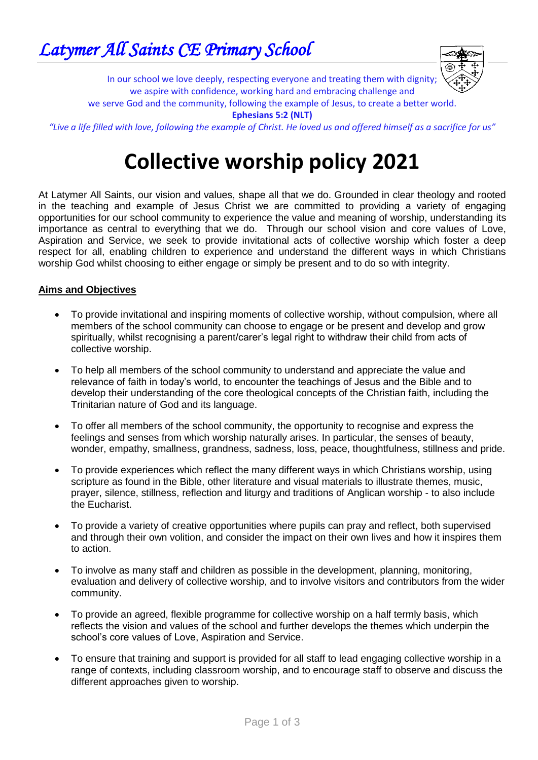

In our school we love deeply, respecting everyone and treating them with dignity; we aspire with confidence, working hard and embracing challenge and

we serve God and the community, following the example of Jesus, to create a better world.

**Ephesians 5:2 (NLT)**

*"Live a life filled with love, following the example of Christ. He loved us and offered himself as a sacrifice for us"*

## **Collective worship policy 2021**

At Latymer All Saints, our vision and values, shape all that we do. Grounded in clear theology and rooted in the teaching and example of Jesus Christ we are committed to providing a variety of engaging opportunities for our school community to experience the value and meaning of worship, understanding its importance as central to everything that we do. Through our school vision and core values of Love, Aspiration and Service, we seek to provide invitational acts of collective worship which foster a deep respect for all, enabling children to experience and understand the different ways in which Christians worship God whilst choosing to either engage or simply be present and to do so with integrity.

## **Aims and Objectives**

- To provide invitational and inspiring moments of collective worship, without compulsion, where all members of the school community can choose to engage or be present and develop and grow spiritually, whilst recognising a parent/carer's legal right to withdraw their child from acts of collective worship.
- To help all members of the school community to understand and appreciate the value and relevance of faith in today's world, to encounter the teachings of Jesus and the Bible and to develop their understanding of the core theological concepts of the Christian faith, including the Trinitarian nature of God and its language.
- To offer all members of the school community, the opportunity to recognise and express the feelings and senses from which worship naturally arises. In particular, the senses of beauty, wonder, empathy, smallness, grandness, sadness, loss, peace, thoughtfulness, stillness and pride.
- To provide experiences which reflect the many different ways in which Christians worship, using scripture as found in the Bible, other literature and visual materials to illustrate themes, music, prayer, silence, stillness, reflection and liturgy and traditions of Anglican worship - to also include the Eucharist.
- To provide a variety of creative opportunities where pupils can pray and reflect, both supervised and through their own volition, and consider the impact on their own lives and how it inspires them to action.
- To involve as many staff and children as possible in the development, planning, monitoring, evaluation and delivery of collective worship, and to involve visitors and contributors from the wider community.
- To provide an agreed, flexible programme for collective worship on a half termly basis, which reflects the vision and values of the school and further develops the themes which underpin the school's core values of Love, Aspiration and Service.
- To ensure that training and support is provided for all staff to lead engaging collective worship in a range of contexts, including classroom worship, and to encourage staff to observe and discuss the different approaches given to worship.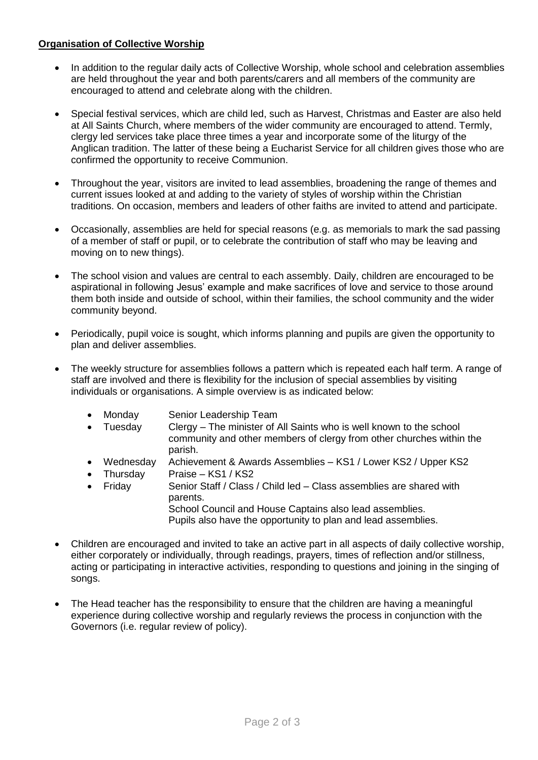## **Organisation of Collective Worship**

- In addition to the regular daily acts of Collective Worship, whole school and celebration assemblies are held throughout the year and both parents/carers and all members of the community are encouraged to attend and celebrate along with the children.
- Special festival services, which are child led, such as Harvest, Christmas and Easter are also held at All Saints Church, where members of the wider community are encouraged to attend. Termly, clergy led services take place three times a year and incorporate some of the liturgy of the Anglican tradition. The latter of these being a Eucharist Service for all children gives those who are confirmed the opportunity to receive Communion.
- Throughout the year, visitors are invited to lead assemblies, broadening the range of themes and current issues looked at and adding to the variety of styles of worship within the Christian traditions. On occasion, members and leaders of other faiths are invited to attend and participate.
- Occasionally, assemblies are held for special reasons (e.g. as memorials to mark the sad passing of a member of staff or pupil, or to celebrate the contribution of staff who may be leaving and moving on to new things).
- The school vision and values are central to each assembly. Daily, children are encouraged to be aspirational in following Jesus' example and make sacrifices of love and service to those around them both inside and outside of school, within their families, the school community and the wider community beyond.
- Periodically, pupil voice is sought, which informs planning and pupils are given the opportunity to plan and deliver assemblies.
- The weekly structure for assemblies follows a pattern which is repeated each half term. A range of staff are involved and there is flexibility for the inclusion of special assemblies by visiting individuals or organisations. A simple overview is as indicated below:
	- Monday Senior Leadership Team
	- Tuesday Clergy The minister of All Saints who is well known to the school community and other members of clergy from other churches within the parish.
	- Wednesday Achievement & Awards Assemblies KS1 / Lower KS2 / Upper KS2
	- Thursday Praise KS1 / KS2
	- Friday Senior Staff / Class / Child led Class assemblies are shared with parents.

School Council and House Captains also lead assemblies. Pupils also have the opportunity to plan and lead assemblies.

- Children are encouraged and invited to take an active part in all aspects of daily collective worship, either corporately or individually, through readings, prayers, times of reflection and/or stillness, acting or participating in interactive activities, responding to questions and joining in the singing of songs.
- The Head teacher has the responsibility to ensure that the children are having a meaningful experience during collective worship and regularly reviews the process in conjunction with the Governors (i.e. regular review of policy).